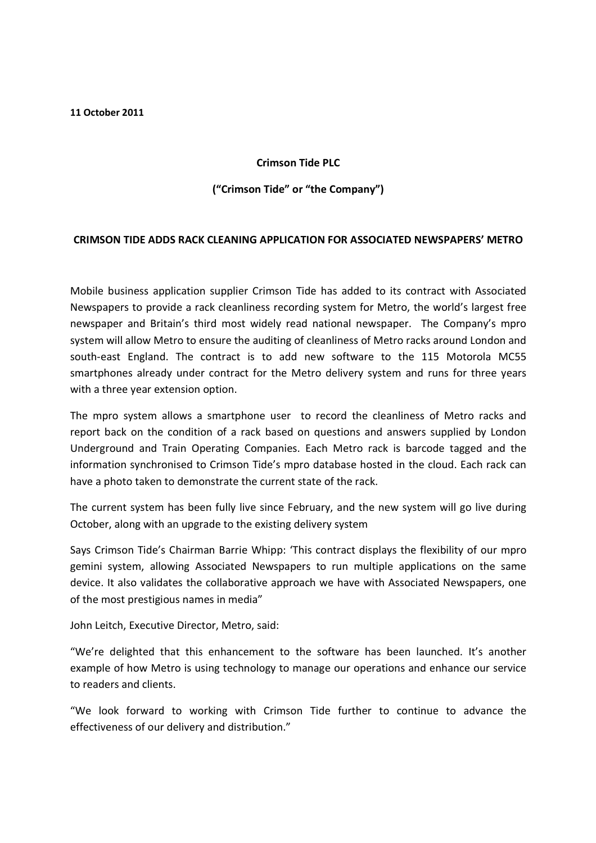11 October 2011

## Crimson Tide PLC

## ("Crimson Tide" or "the Company")

## CRIMSON TIDE ADDS RACK CLEANING APPLICATION FOR ASSOCIATED NEWSPAPERS' METRO

Mobile business application supplier Crimson Tide has added to its contract with Associated Newspapers to provide a rack cleanliness recording system for Metro, the world's largest free newspaper and Britain's third most widely read national newspaper. The Company's mpro system will allow Metro to ensure the auditing of cleanliness of Metro racks around London and south-east England. The contract is to add new software to the 115 Motorola MC55 smartphones already under contract for the Metro delivery system and runs for three years with a three year extension option.

The mpro system allows a smartphone user to record the cleanliness of Metro racks and report back on the condition of a rack based on questions and answers supplied by London Underground and Train Operating Companies. Each Metro rack is barcode tagged and the information synchronised to Crimson Tide's mpro database hosted in the cloud. Each rack can have a photo taken to demonstrate the current state of the rack.

The current system has been fully live since February, and the new system will go live during October, along with an upgrade to the existing delivery system

Says Crimson Tide's Chairman Barrie Whipp: 'This contract displays the flexibility of our mpro gemini system, allowing Associated Newspapers to run multiple applications on the same device. It also validates the collaborative approach we have with Associated Newspapers, one of the most prestigious names in media"

John Leitch, Executive Director, Metro, said:

"We're delighted that this enhancement to the software has been launched. It's another example of how Metro is using technology to manage our operations and enhance our service to readers and clients.

"We look forward to working with Crimson Tide further to continue to advance the effectiveness of our delivery and distribution."